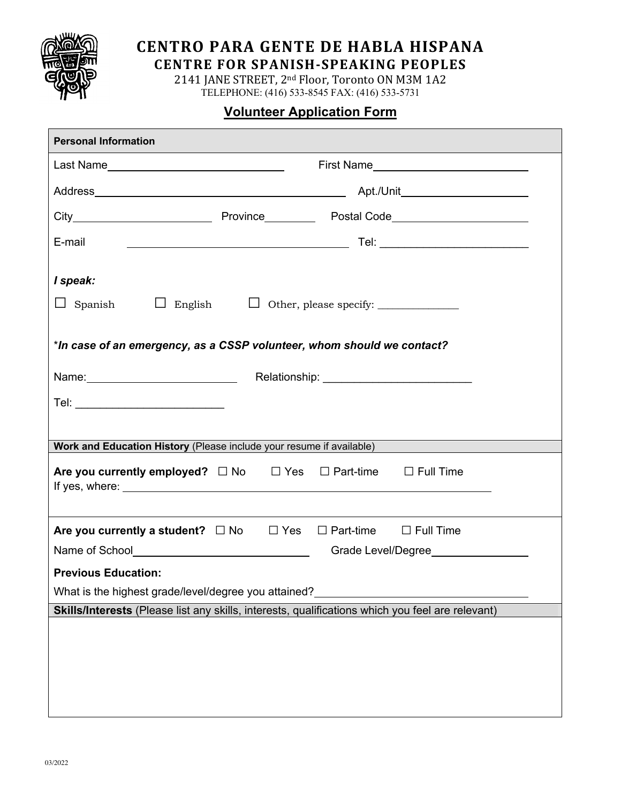

## **CENTRO PARA GENTE DE HABLA HISPANA**

**CENTRE FOR SPANISH-SPEAKING PEOPLES** 

2141 JANE STREET, 2<sup>nd</sup> Floor, Toronto ON M3M 1A2 TELEPHONE: (416) 533-8545 FAX: (416) 533-5731

## **Volunteer Application Form**

| <b>Personal Information</b>                                                                      |  |  |  |  |  |  |
|--------------------------------------------------------------------------------------------------|--|--|--|--|--|--|
|                                                                                                  |  |  |  |  |  |  |
|                                                                                                  |  |  |  |  |  |  |
|                                                                                                  |  |  |  |  |  |  |
| E-mail                                                                                           |  |  |  |  |  |  |
| I speak:<br>$\Box$ Spanish<br>$\Box$ English $\Box$ Other, please specify: $\Box$                |  |  |  |  |  |  |
| *In case of an emergency, as a CSSP volunteer, whom should we contact?                           |  |  |  |  |  |  |
| Relationship: <u>www.community.com</u>                                                           |  |  |  |  |  |  |
| Tel: ___________________________                                                                 |  |  |  |  |  |  |
|                                                                                                  |  |  |  |  |  |  |
| Work and Education History (Please include your resume if available)                             |  |  |  |  |  |  |
| Are you currently employed? $\square$ No $\square$ Yes $\square$ Part-time $\square$ Full Time   |  |  |  |  |  |  |
|                                                                                                  |  |  |  |  |  |  |
| Are you currently a student? $\Box$ No $\Box$ Yes $\Box$ Part-time $\Box$ Full Time              |  |  |  |  |  |  |
| Name of School <b>Name of School</b><br>Grade Level/Degree                                       |  |  |  |  |  |  |
| <b>Previous Education:</b>                                                                       |  |  |  |  |  |  |
| What is the highest grade/level/degree you attained?                                             |  |  |  |  |  |  |
| Skills/Interests (Please list any skills, interests, qualifications which you feel are relevant) |  |  |  |  |  |  |
|                                                                                                  |  |  |  |  |  |  |
|                                                                                                  |  |  |  |  |  |  |
|                                                                                                  |  |  |  |  |  |  |
|                                                                                                  |  |  |  |  |  |  |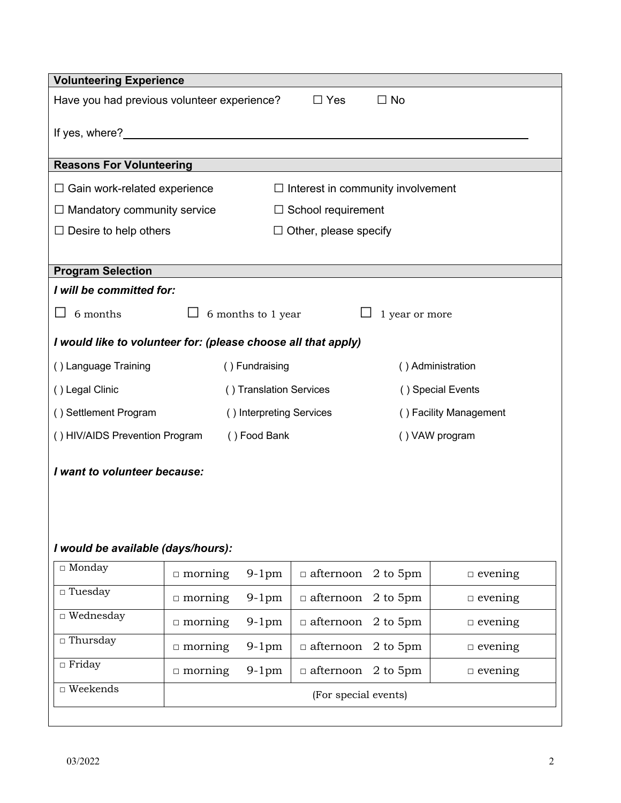| <b>Volunteering Experience</b>                                                  |                          |                    |                  |                        |                |  |
|---------------------------------------------------------------------------------|--------------------------|--------------------|------------------|------------------------|----------------|--|
| $\Box$ No<br>Have you had previous volunteer experience?<br>$\Box$ Yes          |                          |                    |                  |                        |                |  |
|                                                                                 |                          |                    |                  |                        |                |  |
| <b>Reasons For Volunteering</b>                                                 |                          |                    |                  |                        |                |  |
| $\Box$ Gain work-related experience<br>$\Box$ Interest in community involvement |                          |                    |                  |                        |                |  |
| $\Box$ Mandatory community service<br>$\Box$ School requirement                 |                          |                    |                  |                        |                |  |
| $\Box$ Desire to help others<br>$\Box$ Other, please specify                    |                          |                    |                  |                        |                |  |
|                                                                                 |                          |                    |                  |                        |                |  |
| <b>Program Selection</b>                                                        |                          |                    |                  |                        |                |  |
| I will be committed for:                                                        |                          |                    |                  |                        |                |  |
| 6 months                                                                        |                          | 6 months to 1 year |                  | 1 year or more         |                |  |
| I would like to volunteer for: (please choose all that apply)                   |                          |                    |                  |                        |                |  |
| () Language Training                                                            | () Fundraising           |                    |                  | () Administration      |                |  |
| () Legal Clinic                                                                 | () Translation Services  |                    |                  | () Special Events      |                |  |
| () Settlement Program                                                           | () Interpreting Services |                    |                  | () Facility Management |                |  |
| () HIV/AIDS Prevention Program                                                  | () Food Bank             |                    | () VAW program   |                        |                |  |
| I want to volunteer because:                                                    |                          |                    |                  |                        |                |  |
|                                                                                 |                          |                    |                  |                        |                |  |
|                                                                                 |                          |                    |                  |                        |                |  |
|                                                                                 |                          |                    |                  |                        |                |  |
| I would be available (days/hours):                                              |                          |                    |                  |                        |                |  |
| $\Box$ Monday                                                                   | $\Box$ morning           | $9-1$ pm           | $\Box$ afternoon | 2 to 5pm               | $\Box$ evening |  |
| $\Box$ Tuesday                                                                  | $\Box$ morning           | $9-1$ pm           | $\Box$ afternoon | 2 to 5pm               | $\Box$ evening |  |
| $\Box$ Wednesday                                                                | $\Box$ morning           | $9-1$ pm           | $\Box$ afternoon | $2$ to $5\mathrm{pm}$  | $\Box$ evening |  |
| $\Box$ Thursday                                                                 | $\Box$ morning           | $9-1$ pm           | $\Box$ afternoon | $2$ to $5\mathrm{pm}$  | $\Box$ evening |  |
| $\Box$ Friday                                                                   | $\Box$ morning           | $9-1$ pm           | $\Box$ afternoon | 2 to 5pm               | $\Box$ evening |  |
| $\hfill\Box$ Weekends                                                           | (For special events)     |                    |                  |                        |                |  |